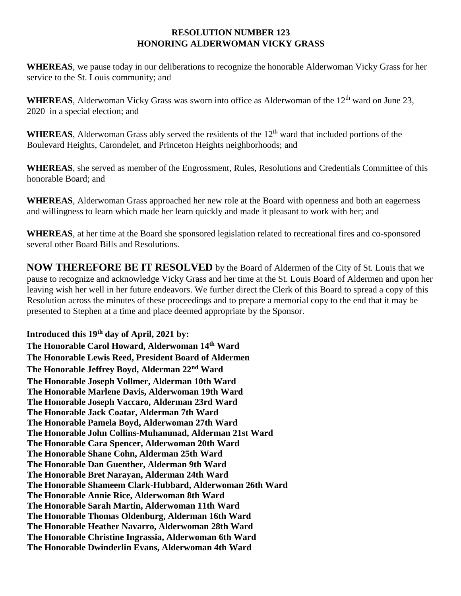## **RESOLUTION NUMBER 123 HONORING ALDERWOMAN VICKY GRASS**

**WHEREAS**, we pause today in our deliberations to recognize the honorable Alderwoman Vicky Grass for her service to the St. Louis community; and

WHEREAS, Alderwoman Vicky Grass was sworn into office as Alderwoman of the 12<sup>th</sup> ward on June 23, 2020 in a special election; and

WHEREAS, Alderwoman Grass ably served the residents of the 12<sup>th</sup> ward that included portions of the Boulevard Heights, Carondelet, and Princeton Heights neighborhoods; and

**WHEREAS**, she served as member of the Engrossment, Rules, Resolutions and Credentials Committee of this honorable Board; and

**WHEREAS**, Alderwoman Grass approached her new role at the Board with openness and both an eagerness and willingness to learn which made her learn quickly and made it pleasant to work with her; and

**WHEREAS**, at her time at the Board she sponsored legislation related to recreational fires and co-sponsored several other Board Bills and Resolutions.

**NOW THEREFORE BE IT RESOLVED** by the Board of Aldermen of the City of St. Louis that we pause to recognize and acknowledge Vicky Grass and her time at the St. Louis Board of Aldermen and upon her leaving wish her well in her future endeavors. We further direct the Clerk of this Board to spread a copy of this Resolution across the minutes of these proceedings and to prepare a memorial copy to the end that it may be presented to Stephen at a time and place deemed appropriate by the Sponsor.

**Introduced this 19th day of April, 2021 by: The Honorable Carol Howard, Alderwoman 14th Ward The Honorable Lewis Reed, President Board of Aldermen The Honorable Jeffrey Boyd, Alderman 22nd Ward The Honorable Joseph Vollmer, Alderman 10th Ward The Honorable Marlene Davis, Alderwoman 19th Ward The Honorable Joseph Vaccaro, Alderman 23rd Ward The Honorable Jack Coatar, Alderman 7th Ward The Honorable Pamela Boyd, Alderwoman 27th Ward The Honorable John Collins-Muhammad, Alderman 21st Ward The Honorable Cara Spencer, Alderwoman 20th Ward The Honorable Shane Cohn, Alderman 25th Ward The Honorable Dan Guenther, Alderman 9th Ward The Honorable Bret Narayan, Alderman 24th Ward The Honorable Shameem Clark-Hubbard, Alderwoman 26th Ward The Honorable Annie Rice, Alderwoman 8th Ward The Honorable Sarah Martin, Alderwoman 11th Ward The Honorable Thomas Oldenburg, Alderman 16th Ward The Honorable Heather Navarro, Alderwoman 28th Ward The Honorable Christine Ingrassia, Alderwoman 6th Ward The Honorable Dwinderlin Evans, Alderwoman 4th Ward**